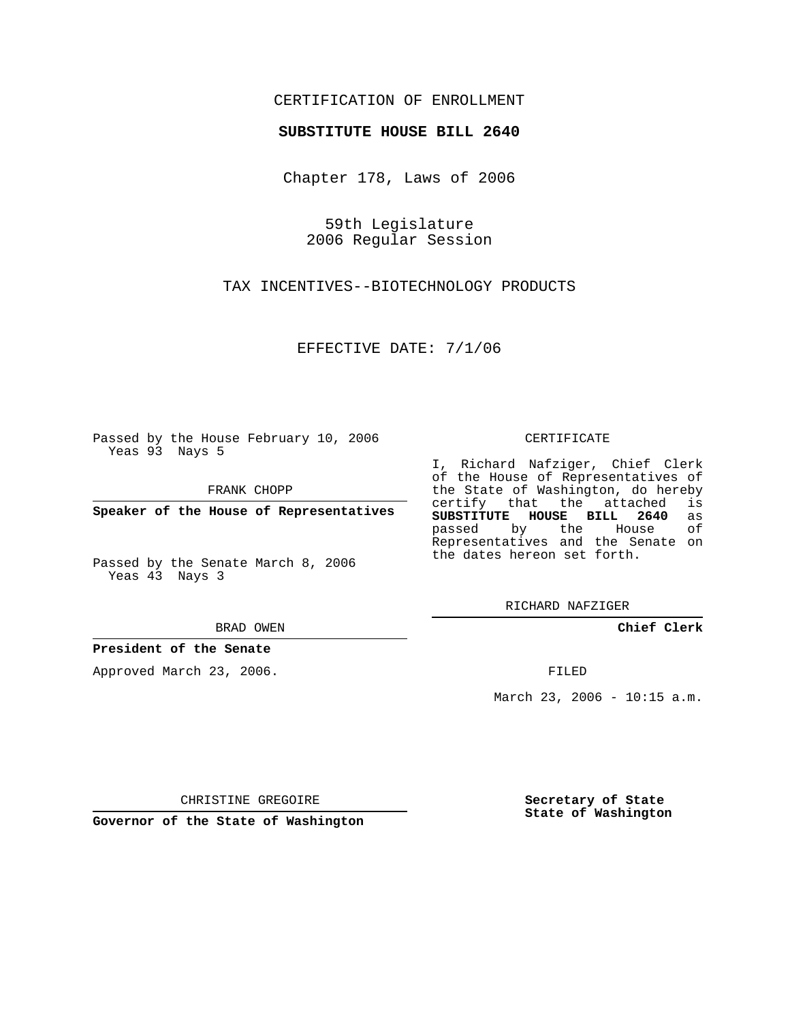## CERTIFICATION OF ENROLLMENT

## **SUBSTITUTE HOUSE BILL 2640**

Chapter 178, Laws of 2006

59th Legislature 2006 Regular Session

TAX INCENTIVES--BIOTECHNOLOGY PRODUCTS

EFFECTIVE DATE: 7/1/06

Passed by the House February 10, 2006 Yeas 93 Nays 5

FRANK CHOPP

**Speaker of the House of Representatives**

Passed by the Senate March 8, 2006 Yeas 43 Nays 3

BRAD OWEN

**President of the Senate**

Approved March 23, 2006.

CERTIFICATE

I, Richard Nafziger, Chief Clerk of the House of Representatives of the State of Washington, do hereby<br>certify that the attached is certify that the attached **SUBSTITUTE HOUSE BILL 2640** as passed by the Representatives and the Senate on the dates hereon set forth.

RICHARD NAFZIGER

**Chief Clerk**

FILED

March 23, 2006 - 10:15 a.m.

CHRISTINE GREGOIRE

**Governor of the State of Washington**

**Secretary of State State of Washington**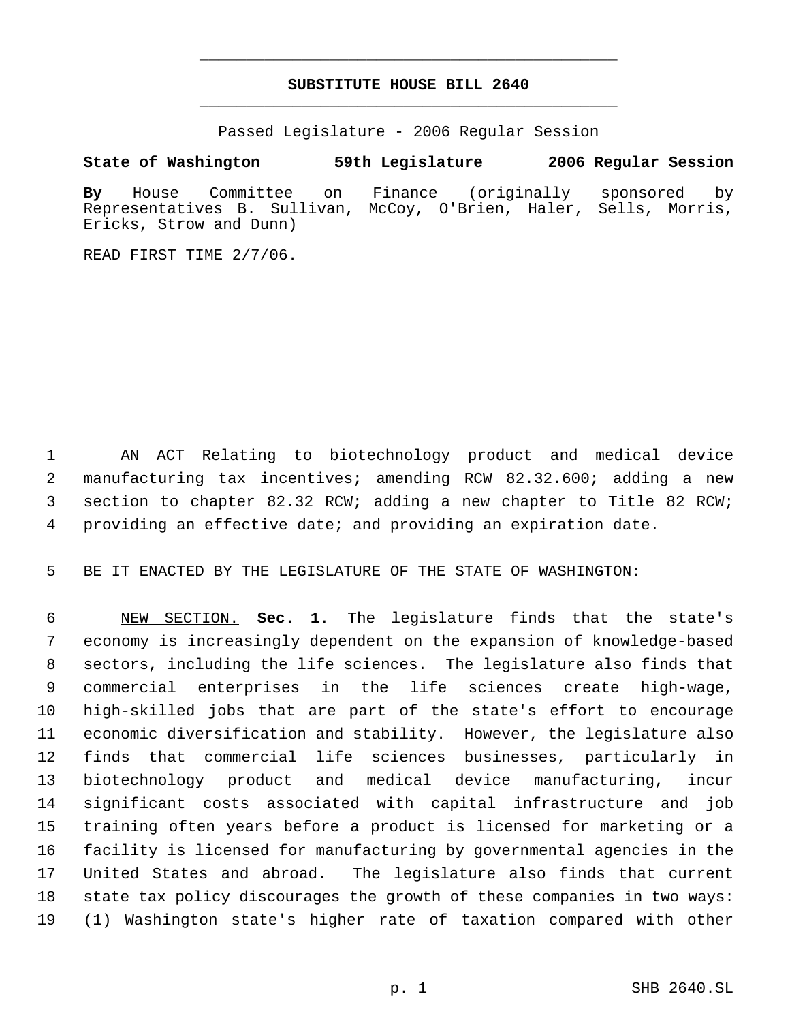## **SUBSTITUTE HOUSE BILL 2640** \_\_\_\_\_\_\_\_\_\_\_\_\_\_\_\_\_\_\_\_\_\_\_\_\_\_\_\_\_\_\_\_\_\_\_\_\_\_\_\_\_\_\_\_\_

\_\_\_\_\_\_\_\_\_\_\_\_\_\_\_\_\_\_\_\_\_\_\_\_\_\_\_\_\_\_\_\_\_\_\_\_\_\_\_\_\_\_\_\_\_

Passed Legislature - 2006 Regular Session

## **State of Washington 59th Legislature 2006 Regular Session**

**By** House Committee on Finance (originally sponsored by Representatives B. Sullivan, McCoy, O'Brien, Haler, Sells, Morris, Ericks, Strow and Dunn)

READ FIRST TIME 2/7/06.

 AN ACT Relating to biotechnology product and medical device manufacturing tax incentives; amending RCW 82.32.600; adding a new section to chapter 82.32 RCW; adding a new chapter to Title 82 RCW; providing an effective date; and providing an expiration date.

BE IT ENACTED BY THE LEGISLATURE OF THE STATE OF WASHINGTON:

 NEW SECTION. **Sec. 1.** The legislature finds that the state's economy is increasingly dependent on the expansion of knowledge-based sectors, including the life sciences. The legislature also finds that commercial enterprises in the life sciences create high-wage, high-skilled jobs that are part of the state's effort to encourage economic diversification and stability. However, the legislature also finds that commercial life sciences businesses, particularly in biotechnology product and medical device manufacturing, incur significant costs associated with capital infrastructure and job training often years before a product is licensed for marketing or a facility is licensed for manufacturing by governmental agencies in the United States and abroad. The legislature also finds that current state tax policy discourages the growth of these companies in two ways: (1) Washington state's higher rate of taxation compared with other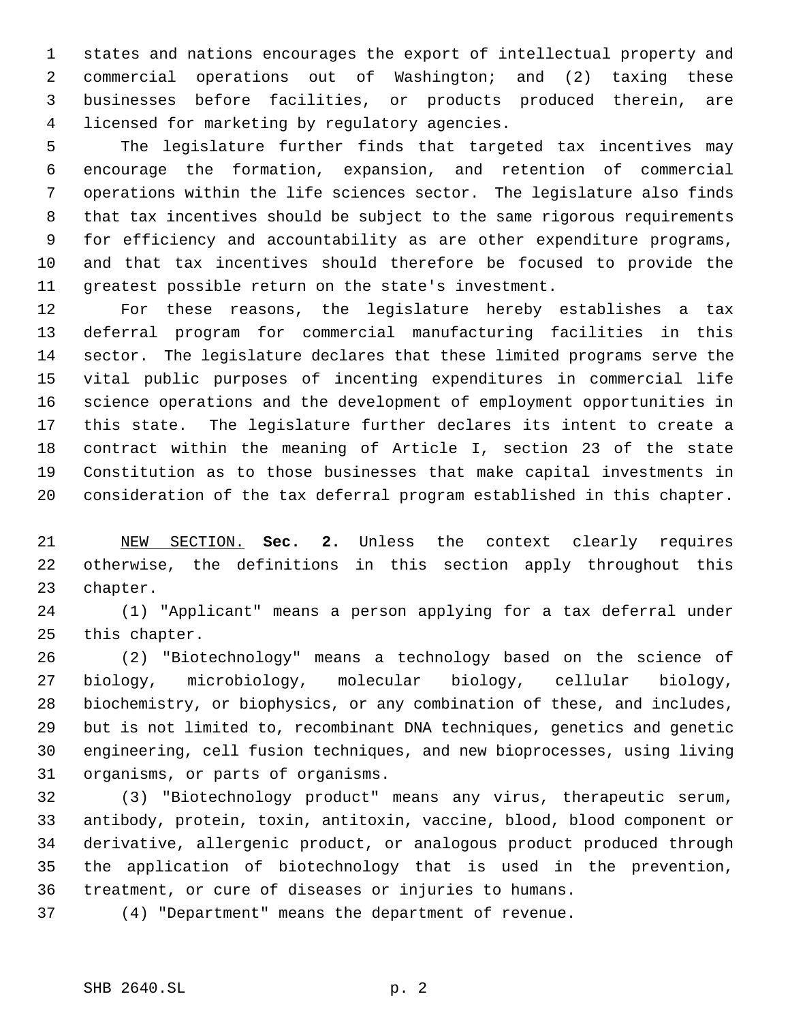states and nations encourages the export of intellectual property and commercial operations out of Washington; and (2) taxing these businesses before facilities, or products produced therein, are licensed for marketing by regulatory agencies.

 The legislature further finds that targeted tax incentives may encourage the formation, expansion, and retention of commercial operations within the life sciences sector. The legislature also finds that tax incentives should be subject to the same rigorous requirements for efficiency and accountability as are other expenditure programs, and that tax incentives should therefore be focused to provide the greatest possible return on the state's investment.

 For these reasons, the legislature hereby establishes a tax deferral program for commercial manufacturing facilities in this sector. The legislature declares that these limited programs serve the vital public purposes of incenting expenditures in commercial life science operations and the development of employment opportunities in this state. The legislature further declares its intent to create a contract within the meaning of Article I, section 23 of the state Constitution as to those businesses that make capital investments in consideration of the tax deferral program established in this chapter.

 NEW SECTION. **Sec. 2.** Unless the context clearly requires otherwise, the definitions in this section apply throughout this chapter.

 (1) "Applicant" means a person applying for a tax deferral under this chapter.

 (2) "Biotechnology" means a technology based on the science of biology, microbiology, molecular biology, cellular biology, biochemistry, or biophysics, or any combination of these, and includes, but is not limited to, recombinant DNA techniques, genetics and genetic engineering, cell fusion techniques, and new bioprocesses, using living organisms, or parts of organisms.

 (3) "Biotechnology product" means any virus, therapeutic serum, antibody, protein, toxin, antitoxin, vaccine, blood, blood component or derivative, allergenic product, or analogous product produced through the application of biotechnology that is used in the prevention, treatment, or cure of diseases or injuries to humans.

(4) "Department" means the department of revenue.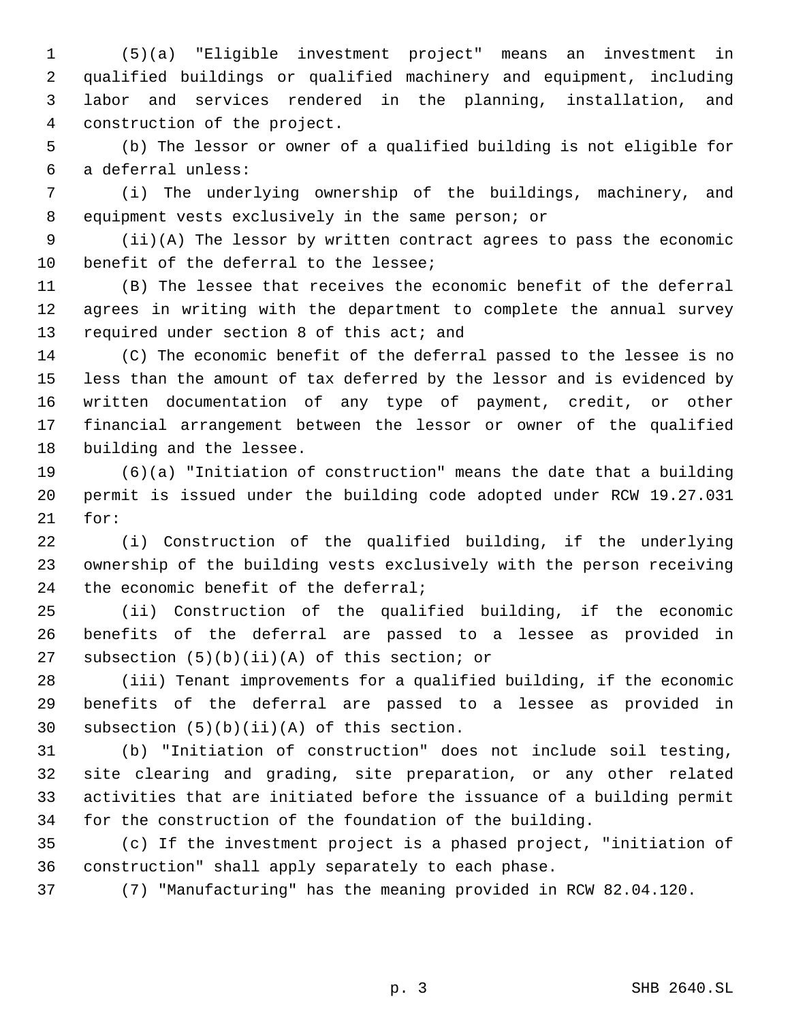(5)(a) "Eligible investment project" means an investment in qualified buildings or qualified machinery and equipment, including labor and services rendered in the planning, installation, and construction of the project.

 (b) The lessor or owner of a qualified building is not eligible for a deferral unless:

 (i) The underlying ownership of the buildings, machinery, and equipment vests exclusively in the same person; or

 (ii)(A) The lessor by written contract agrees to pass the economic benefit of the deferral to the lessee;

 (B) The lessee that receives the economic benefit of the deferral agrees in writing with the department to complete the annual survey 13 required under section 8 of this act; and

 (C) The economic benefit of the deferral passed to the lessee is no less than the amount of tax deferred by the lessor and is evidenced by written documentation of any type of payment, credit, or other financial arrangement between the lessor or owner of the qualified building and the lessee.

 (6)(a) "Initiation of construction" means the date that a building permit is issued under the building code adopted under RCW 19.27.031 for:

 (i) Construction of the qualified building, if the underlying ownership of the building vests exclusively with the person receiving 24 the economic benefit of the deferral;

 (ii) Construction of the qualified building, if the economic benefits of the deferral are passed to a lessee as provided in subsection (5)(b)(ii)(A) of this section; or

 (iii) Tenant improvements for a qualified building, if the economic benefits of the deferral are passed to a lessee as provided in subsection (5)(b)(ii)(A) of this section.

 (b) "Initiation of construction" does not include soil testing, site clearing and grading, site preparation, or any other related activities that are initiated before the issuance of a building permit for the construction of the foundation of the building.

 (c) If the investment project is a phased project, "initiation of construction" shall apply separately to each phase.

(7) "Manufacturing" has the meaning provided in RCW 82.04.120.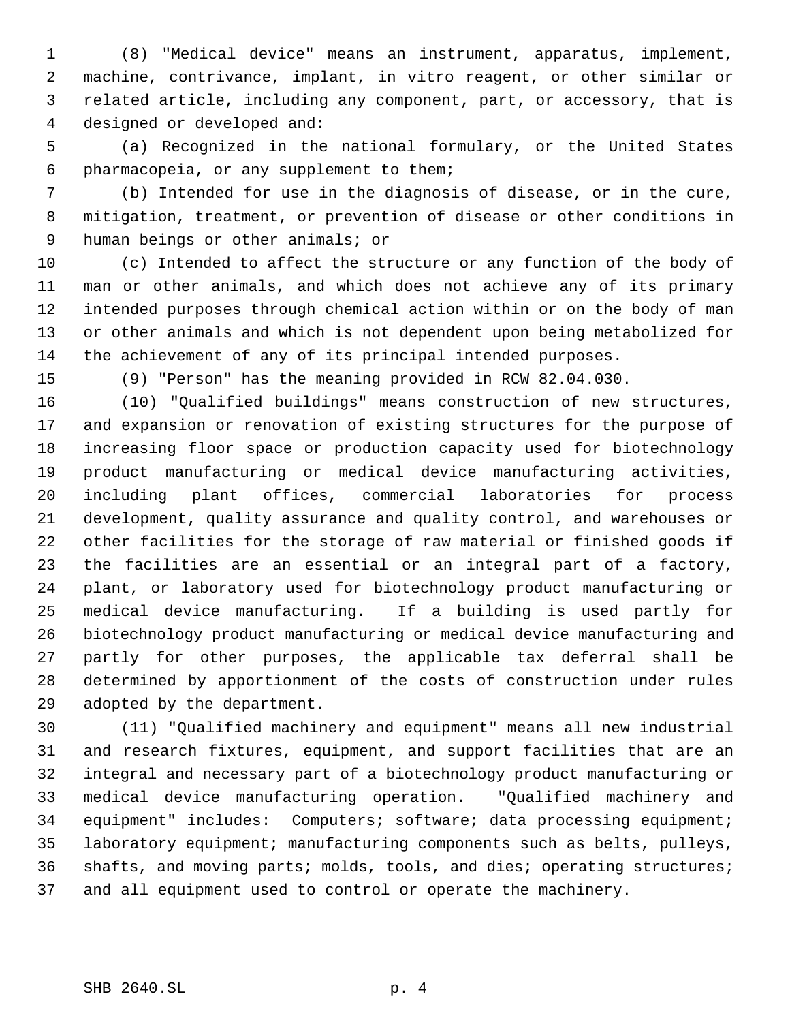(8) "Medical device" means an instrument, apparatus, implement, machine, contrivance, implant, in vitro reagent, or other similar or related article, including any component, part, or accessory, that is designed or developed and:

 (a) Recognized in the national formulary, or the United States pharmacopeia, or any supplement to them;

 (b) Intended for use in the diagnosis of disease, or in the cure, mitigation, treatment, or prevention of disease or other conditions in human beings or other animals; or

 (c) Intended to affect the structure or any function of the body of man or other animals, and which does not achieve any of its primary intended purposes through chemical action within or on the body of man or other animals and which is not dependent upon being metabolized for the achievement of any of its principal intended purposes.

(9) "Person" has the meaning provided in RCW 82.04.030.

 (10) "Qualified buildings" means construction of new structures, and expansion or renovation of existing structures for the purpose of increasing floor space or production capacity used for biotechnology product manufacturing or medical device manufacturing activities, including plant offices, commercial laboratories for process development, quality assurance and quality control, and warehouses or other facilities for the storage of raw material or finished goods if the facilities are an essential or an integral part of a factory, plant, or laboratory used for biotechnology product manufacturing or medical device manufacturing. If a building is used partly for biotechnology product manufacturing or medical device manufacturing and partly for other purposes, the applicable tax deferral shall be determined by apportionment of the costs of construction under rules adopted by the department.

 (11) "Qualified machinery and equipment" means all new industrial and research fixtures, equipment, and support facilities that are an integral and necessary part of a biotechnology product manufacturing or medical device manufacturing operation. "Qualified machinery and equipment" includes: Computers; software; data processing equipment; laboratory equipment; manufacturing components such as belts, pulleys, 36 shafts, and moving parts; molds, tools, and dies; operating structures; and all equipment used to control or operate the machinery.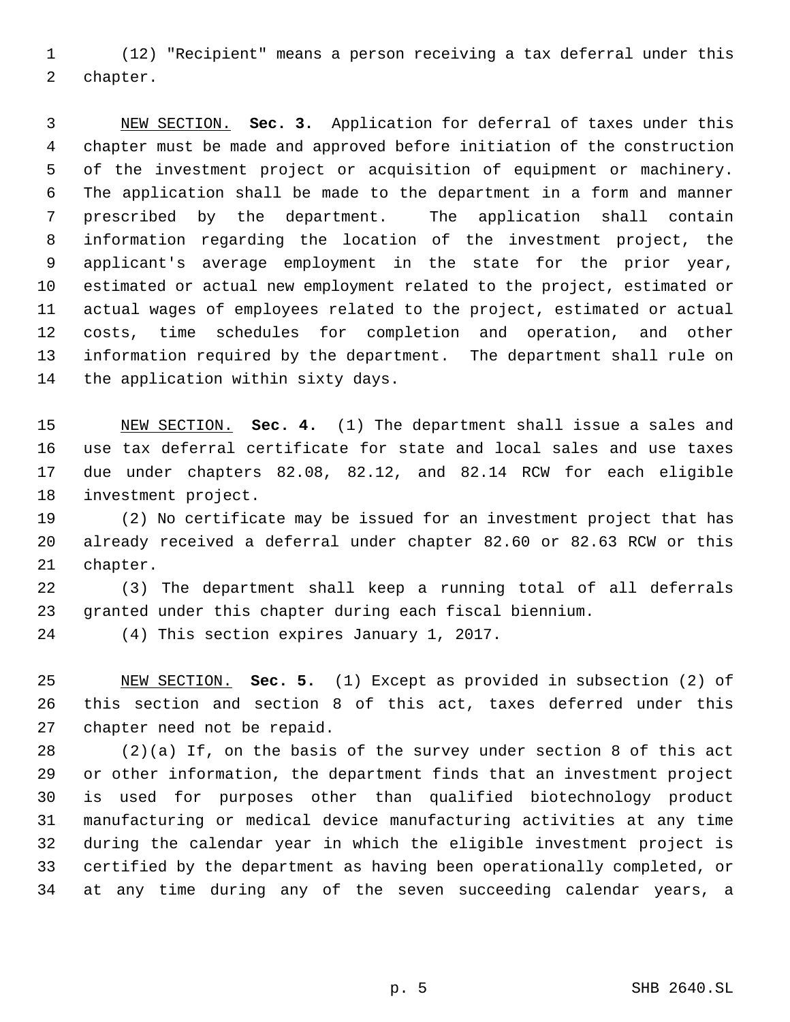(12) "Recipient" means a person receiving a tax deferral under this chapter.

 NEW SECTION. **Sec. 3.** Application for deferral of taxes under this chapter must be made and approved before initiation of the construction of the investment project or acquisition of equipment or machinery. The application shall be made to the department in a form and manner prescribed by the department. The application shall contain information regarding the location of the investment project, the applicant's average employment in the state for the prior year, estimated or actual new employment related to the project, estimated or actual wages of employees related to the project, estimated or actual costs, time schedules for completion and operation, and other information required by the department. The department shall rule on the application within sixty days.

 NEW SECTION. **Sec. 4.** (1) The department shall issue a sales and use tax deferral certificate for state and local sales and use taxes due under chapters 82.08, 82.12, and 82.14 RCW for each eligible investment project.

 (2) No certificate may be issued for an investment project that has already received a deferral under chapter 82.60 or 82.63 RCW or this chapter.

 (3) The department shall keep a running total of all deferrals granted under this chapter during each fiscal biennium.

(4) This section expires January 1, 2017.

 NEW SECTION. **Sec. 5.** (1) Except as provided in subsection (2) of this section and section 8 of this act, taxes deferred under this chapter need not be repaid.

 (2)(a) If, on the basis of the survey under section 8 of this act or other information, the department finds that an investment project is used for purposes other than qualified biotechnology product manufacturing or medical device manufacturing activities at any time during the calendar year in which the eligible investment project is certified by the department as having been operationally completed, or at any time during any of the seven succeeding calendar years, a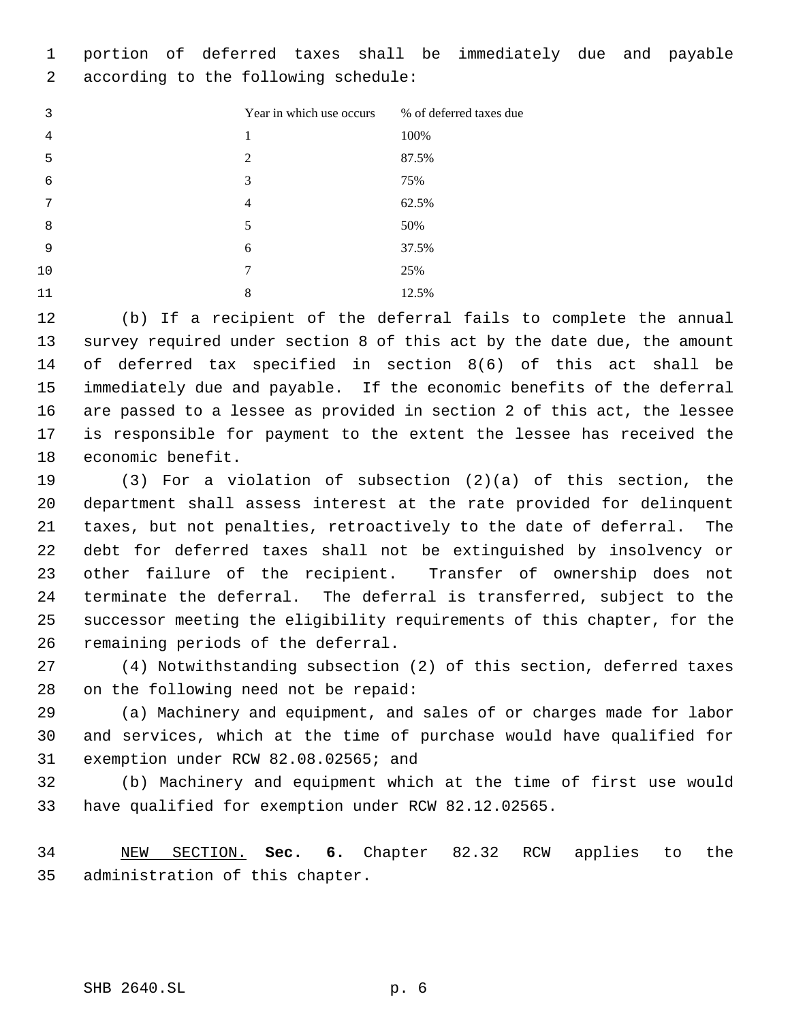portion of deferred taxes shall be immediately due and payable according to the following schedule:

| 3  | Year in which use occurs | % of deferred taxes due |
|----|--------------------------|-------------------------|
| 4  | 1                        | 100%                    |
| 5  | $\overline{2}$           | 87.5%                   |
| 6  | 3                        | 75%                     |
| 7  | $\overline{4}$           | 62.5%                   |
| 8  | 5                        | 50%                     |
| 9  | 6                        | 37.5%                   |
| 10 | 7                        | 25%                     |
| 11 | 8                        | 12.5%                   |

 (b) If a recipient of the deferral fails to complete the annual survey required under section 8 of this act by the date due, the amount of deferred tax specified in section 8(6) of this act shall be immediately due and payable. If the economic benefits of the deferral are passed to a lessee as provided in section 2 of this act, the lessee is responsible for payment to the extent the lessee has received the economic benefit.

 (3) For a violation of subsection (2)(a) of this section, the department shall assess interest at the rate provided for delinquent taxes, but not penalties, retroactively to the date of deferral. The debt for deferred taxes shall not be extinguished by insolvency or other failure of the recipient. Transfer of ownership does not terminate the deferral. The deferral is transferred, subject to the successor meeting the eligibility requirements of this chapter, for the remaining periods of the deferral.

 (4) Notwithstanding subsection (2) of this section, deferred taxes on the following need not be repaid:

 (a) Machinery and equipment, and sales of or charges made for labor and services, which at the time of purchase would have qualified for exemption under RCW 82.08.02565; and

 (b) Machinery and equipment which at the time of first use would have qualified for exemption under RCW 82.12.02565.

 NEW SECTION. **Sec. 6.** Chapter 82.32 RCW applies to the administration of this chapter.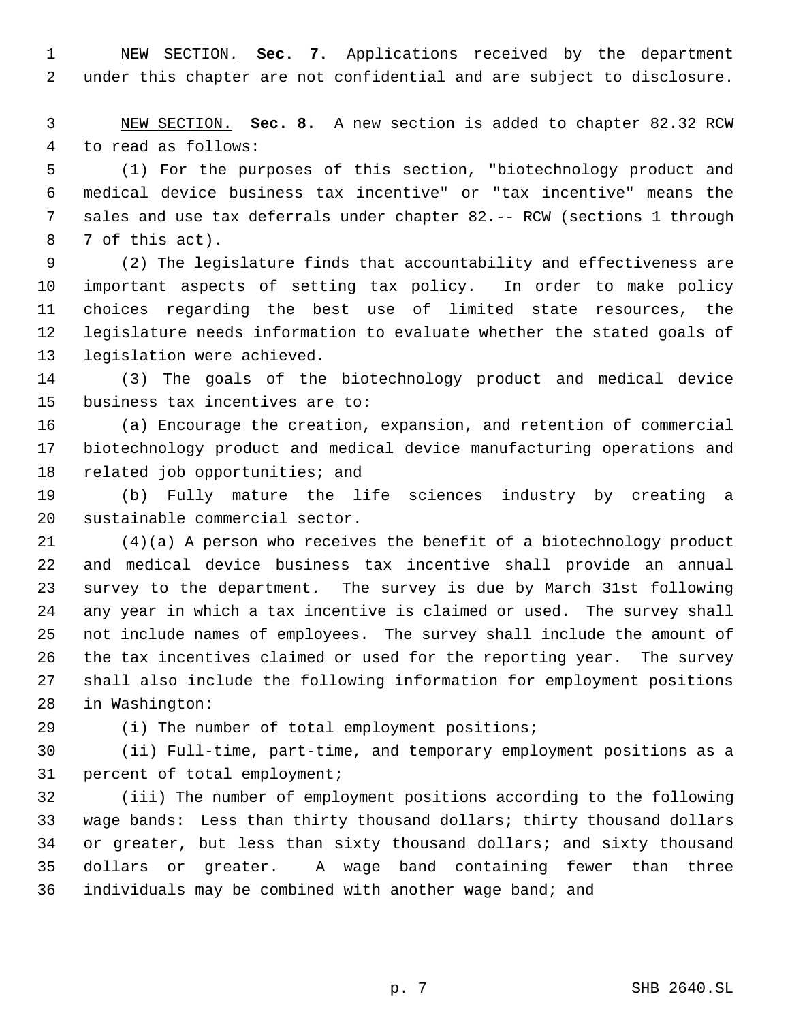NEW SECTION. **Sec. 7.** Applications received by the department under this chapter are not confidential and are subject to disclosure.

 NEW SECTION. **Sec. 8.** A new section is added to chapter 82.32 RCW to read as follows:

 (1) For the purposes of this section, "biotechnology product and medical device business tax incentive" or "tax incentive" means the sales and use tax deferrals under chapter 82.-- RCW (sections 1 through 7 of this act).

 (2) The legislature finds that accountability and effectiveness are important aspects of setting tax policy. In order to make policy choices regarding the best use of limited state resources, the legislature needs information to evaluate whether the stated goals of legislation were achieved.

 (3) The goals of the biotechnology product and medical device business tax incentives are to:

 (a) Encourage the creation, expansion, and retention of commercial biotechnology product and medical device manufacturing operations and related job opportunities; and

 (b) Fully mature the life sciences industry by creating a sustainable commercial sector.

 (4)(a) A person who receives the benefit of a biotechnology product and medical device business tax incentive shall provide an annual survey to the department. The survey is due by March 31st following any year in which a tax incentive is claimed or used. The survey shall not include names of employees. The survey shall include the amount of the tax incentives claimed or used for the reporting year. The survey shall also include the following information for employment positions in Washington:

(i) The number of total employment positions;

 (ii) Full-time, part-time, and temporary employment positions as a percent of total employment;

 (iii) The number of employment positions according to the following wage bands: Less than thirty thousand dollars; thirty thousand dollars or greater, but less than sixty thousand dollars; and sixty thousand dollars or greater. A wage band containing fewer than three individuals may be combined with another wage band; and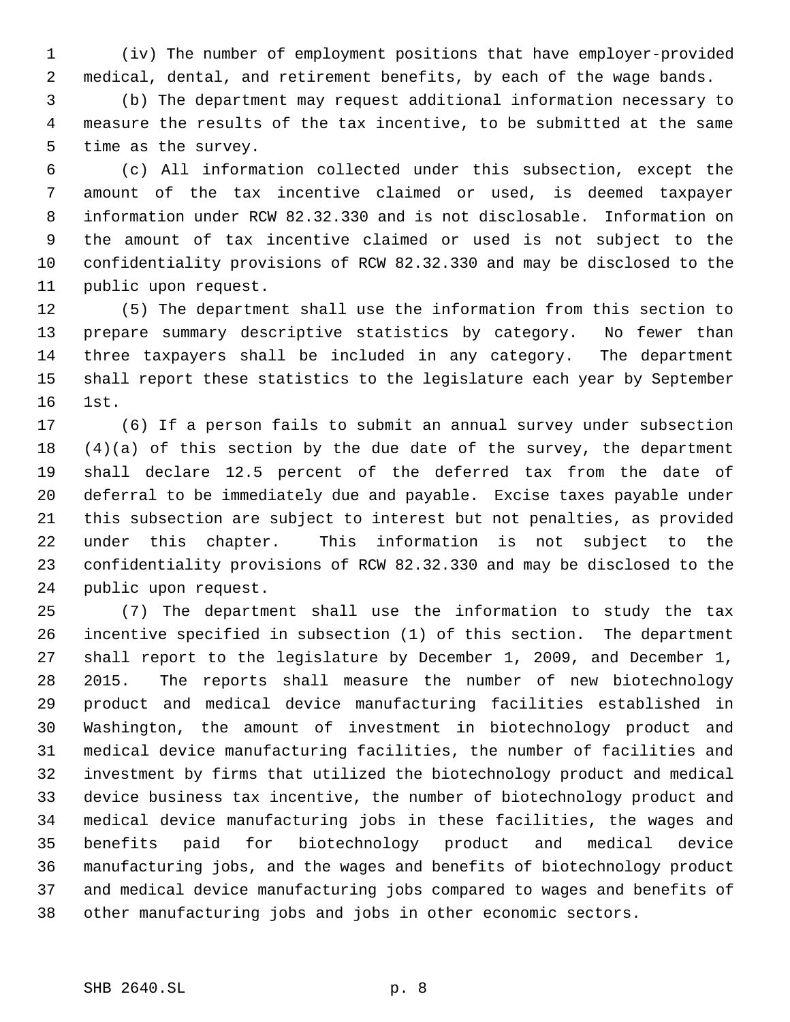(iv) The number of employment positions that have employer-provided medical, dental, and retirement benefits, by each of the wage bands.

 (b) The department may request additional information necessary to measure the results of the tax incentive, to be submitted at the same time as the survey.

 (c) All information collected under this subsection, except the amount of the tax incentive claimed or used, is deemed taxpayer information under RCW 82.32.330 and is not disclosable. Information on the amount of tax incentive claimed or used is not subject to the confidentiality provisions of RCW 82.32.330 and may be disclosed to the public upon request.

 (5) The department shall use the information from this section to prepare summary descriptive statistics by category. No fewer than three taxpayers shall be included in any category. The department shall report these statistics to the legislature each year by September 1st.

 (6) If a person fails to submit an annual survey under subsection (4)(a) of this section by the due date of the survey, the department shall declare 12.5 percent of the deferred tax from the date of deferral to be immediately due and payable. Excise taxes payable under this subsection are subject to interest but not penalties, as provided under this chapter. This information is not subject to the confidentiality provisions of RCW 82.32.330 and may be disclosed to the public upon request.

 (7) The department shall use the information to study the tax incentive specified in subsection (1) of this section. The department shall report to the legislature by December 1, 2009, and December 1, 2015. The reports shall measure the number of new biotechnology product and medical device manufacturing facilities established in Washington, the amount of investment in biotechnology product and medical device manufacturing facilities, the number of facilities and investment by firms that utilized the biotechnology product and medical device business tax incentive, the number of biotechnology product and medical device manufacturing jobs in these facilities, the wages and benefits paid for biotechnology product and medical device manufacturing jobs, and the wages and benefits of biotechnology product and medical device manufacturing jobs compared to wages and benefits of other manufacturing jobs and jobs in other economic sectors.